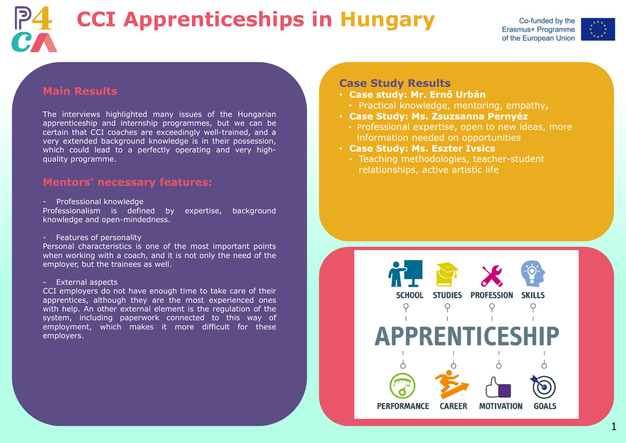### **Main Results**

The interviews highlighted many issues of the Hungarian apprenticeship and internship programmes, but we can be certain that CCI coaches are exceedingly well-trained, and a very extended background knowledge is in their possession, which could lead to a perfectly operating and very highquality programme.

#### **Mentors' necessary features:**

- Professional knowledge

Professionalism is defined by expertise, background knowledge and open-mindedness.

- Features of personality

Personal characteristics is one of the most important points when working with a coach, and it is not only the need of the employer, but the trainees as well.

#### - External aspects

CCI employers do not have enough time to take care of their apprentices, although they are the most experienced ones with help. An other external element is the regulation of the system, including paperwork connected to this way of employment, which makes it more difficult for these employers.







# **CCI Apprenticeships in Hungary**

#### **Case Study Results**

- **Case study: Mr. Ernő Urbán**
- Practical knowledge, mentoring, empathy**,**
- **Case Study: Ms. Zsuzsanna Pernyéz**
	- Professional expertise, open to new ideas, more information needed on opportunities
- **Case Study: Ms. Eszter Ivsics**
	- Teaching methodologies, teacher-student relationships, active artistic life



1